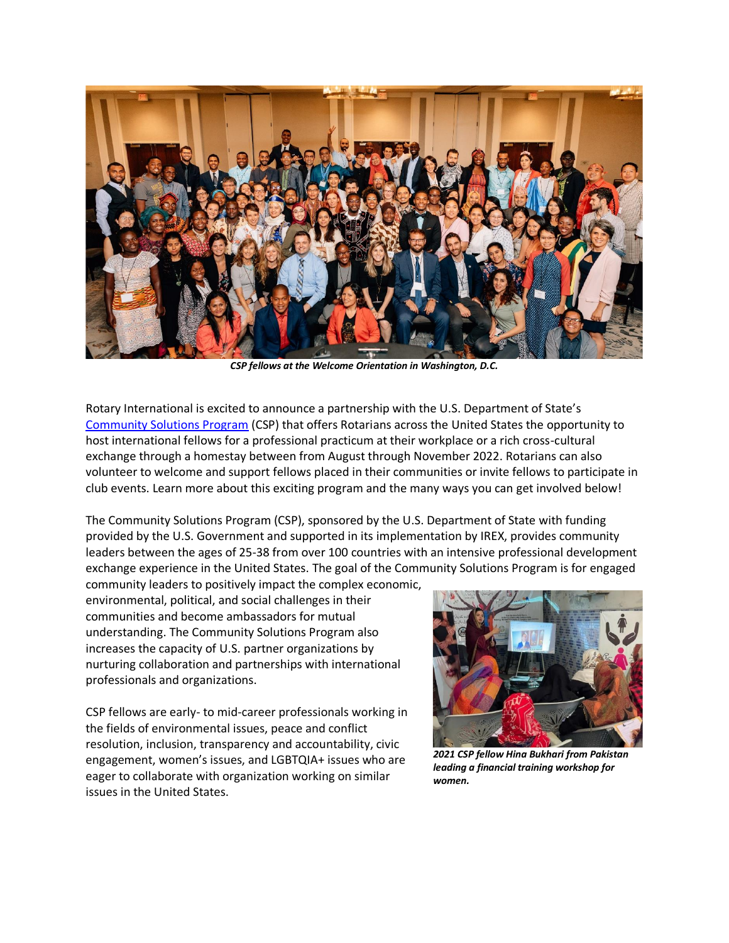

*CSP fellows at the Welcome Orientation in Washington, D.C.*

Rotary International is excited to announce a partnership with the U.S. Department of State's [Community Solutions Program](https://www.irex.org/csp) (CSP) that offers Rotarians across the United States the opportunity to host international fellows for a professional practicum at their workplace or a rich cross-cultural exchange through a homestay between from August through November 2022. Rotarians can also volunteer to welcome and support fellows placed in their communities or invite fellows to participate in club events. Learn more about this exciting program and the many ways you can get involved below!

The Community Solutions Program (CSP), sponsored by the U.S. Department of State with funding provided by the U.S. Government and supported in its implementation by IREX, provides community leaders between the ages of 25-38 from over 100 countries with an intensive professional development exchange experience in the United States. The goal of the Community Solutions Program is for engaged community leaders to positively impact the complex economic,

environmental, political, and social challenges in their communities and become ambassadors for mutual understanding. The Community Solutions Program also increases the capacity of U.S. partner organizations by nurturing collaboration and partnerships with international professionals and organizations.

CSP fellows are early- to mid-career professionals working in the fields of environmental issues, peace and conflict resolution, inclusion, transparency and accountability, civic engagement, women's issues, and LGBTQIA+ issues who are eager to collaborate with organization working on similar issues in the United States.



*2021 CSP fellow Hina Bukhari from Pakistan leading a financial training workshop for women.*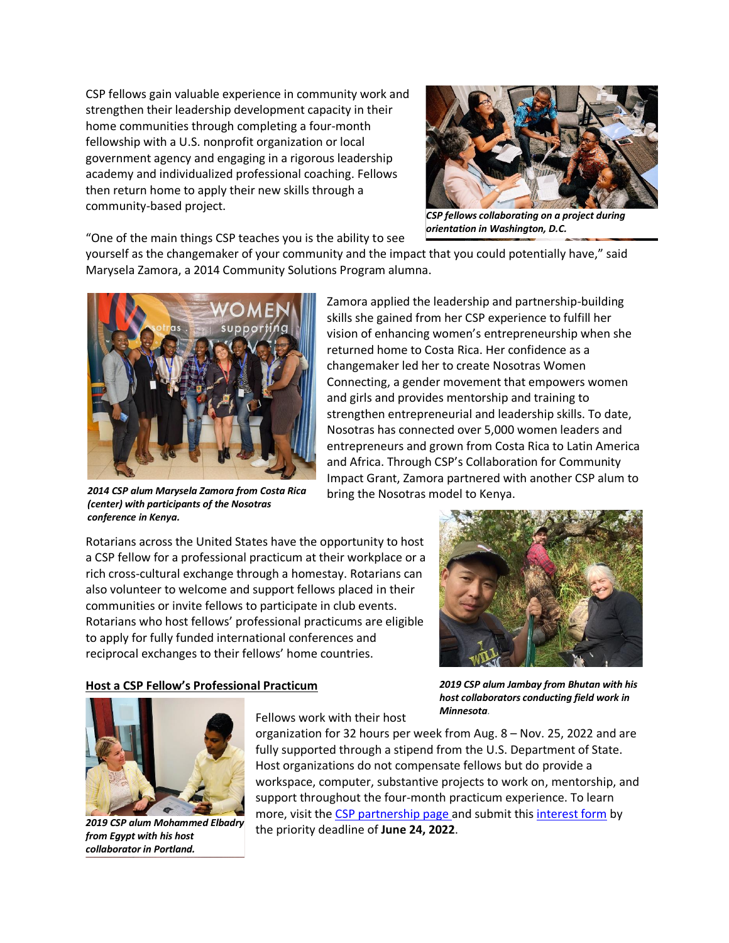CSP fellows gain valuable experience in community work and strengthen their leadership development capacity in their home communities through completing a four-month fellowship with a U.S. nonprofit organization or local government agency and engaging in a rigorous leadership academy and individualized professional coaching. Fellows then return home to apply their new skills through a community-based project.



*CSP fellows collaborating on a project during orientation in Washington, D.C.*

"One of the main things CSP teaches you is the ability to see

yourself as the changemaker of your community and the impact that you could potentially have," said Marysela Zamora, a 2014 Community Solutions Program alumna.



*2014 CSP alum Marysela Zamora from Costa Rica (center) with participants of the Nosotras conference in Kenya.*

Zamora applied the leadership and partnership-building skills she gained from her CSP experience to fulfill her vision of enhancing women's entrepreneurship when she returned home to Costa Rica. Her confidence as a changemaker led her to create Nosotras Women Connecting, a gender movement that empowers women and girls and provides mentorship and training to strengthen entrepreneurial and leadership skills. To date, Nosotras has connected over 5,000 women leaders and entrepreneurs and grown from Costa Rica to Latin America and Africa. Through CSP's Collaboration for Community Impact Grant, Zamora partnered with another CSP alum to bring the Nosotras model to Kenya.

Rotarians across the United States have the opportunity to host a CSP fellow for a professional practicum at their workplace or a rich cross-cultural exchange through a homestay. Rotarians can also volunteer to welcome and support fellows placed in their communities or invite fellows to participate in club events. Rotarians who host fellows' professional practicums are eligible to apply for fully funded international conferences and reciprocal exchanges to their fellows' home countries.



## **Host a CSP Fellow's Professional Practicum**

*2019 CSP alum Jambay from Bhutan with his host collaborators conducting field work in Minnesota.*



*2019 CSP alum Mohammed Elbadry [from Egypt with his host](about:blank)  collaborator in Portland.*

Fellows work with their host

organization for 32 hours per week from Aug. 8 – Nov. 25, 2022 and are fully supported through a stipend from the U.S. Department of State. Host organizations do not compensate fellows but do provide a workspace, computer, substantive projects to work on, mentorship, and support throughout the four-month practicum experience. To learn more, visit th[e CSP partnership page](https://www.irex.org/program/community-solutions-opportunities-partners) and submit this [interest form](https://irexorg.formstack.com/forms/rotary_interest_form_) by the priority deadline of **June 24, 2022**.